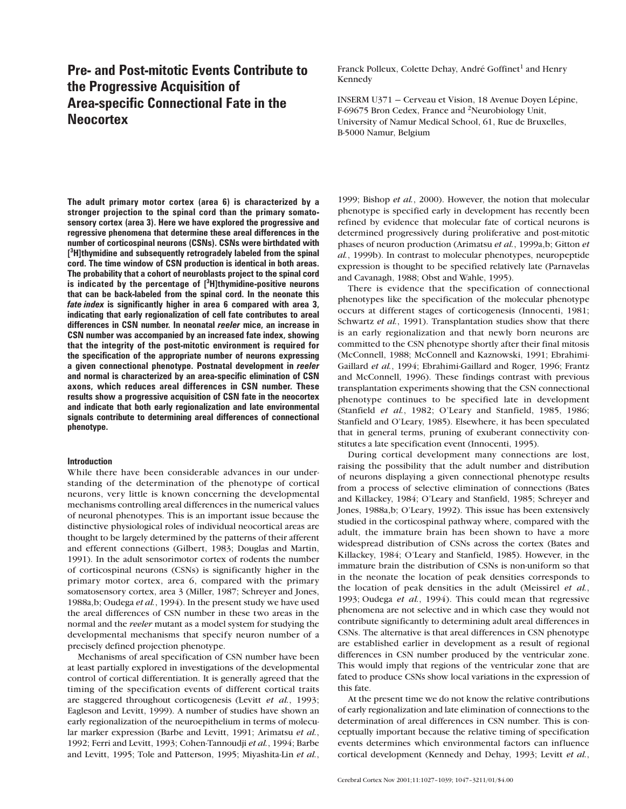# **Pre- and Post-mitotic Events Contribute to the Progressive Acquisition of Area-specific Connectional Fate in the Neocortex**

**The adult primary motor cortex (area 6) is characterized by a stronger projection to the spinal cord than the primary somatosensory cortex (area 3). Here we have explored the progressive and regressive phenomena that determine these areal differences in the number of corticospinal neurons (CSNs). CSNs were birthdated with [ 3 H]thymidine and subsequently retrogradely labeled from the spinal cord. The time window of CSN production is identical in both areas. The probability that a cohort of neuroblasts project to the spinal cord is indicated by the percentage of [3 H]thymidine-positive neurons that can be back-labeled from the spinal cord. In the neonate this** *fate index* **is significantly higher in area 6 compared with area 3, indicating that early regionalization of cell fate contributes to areal differences in CSN number. In neonatal** *reeler* **mice, an increase in CSN number was accompanied by an increased fate index, showing that the integrity of the post-mitotic environment is required for the specification of the appropriate number of neurons expressing a given connectional phenotype. Postnatal development in** *reeler* **and normal is characterized by an area-specific elimination of CSN axons, which reduces areal differences in CSN number. These results show a progressive acquisition of CSN fate in the neocortex and indicate that both early regionalization and late environmental signals contribute to determining areal differences of connectional phenotype.**

# **Introduction**

While there have been considerable advances in our understanding of the determination of the phenotype of cortical neurons, very little is known concerning the developmental mechanisms controlling areal differences in the numerical values of neuronal phenotypes. This is an important issue because the distinctive physiological roles of individual neocortical areas are thought to be largely determined by the patterns of their afferent and efferent connections (Gilbert, 1983; Douglas and Martin, 1991). In the adult sensorimotor cortex of rodents the number of corticospinal neurons (CSNs) is significantly higher in the primary motor cortex, area 6, compared with the primary somatosensory cortex, area 3 (Miller, 1987; Schreyer and Jones, 1988a,b; Oudega *et al.*, 1994). In the present study we have used the areal differences of CSN number in these two areas in the normal and the *reeler* mutant as a model system for studying the developmental mechanisms that specify neuron number of a precisely defined projection phenotype.

Mechanisms of areal specification of CSN number have been at least partially explored in investigations of the developmental control of cortical differentiation. It is generally agreed that the timing of the specification events of different cortical traits are staggered throughout corticogenesis (Levitt *et al.*, 1993; Eagleson and Levitt, 1999). A number of studies have shown an early regionalization of the neuroepithelium in terms of molecular marker expression (Barbe and Levitt, 1991; Arimatsu *et al.*, 1992; Ferri and Levitt, 1993; Cohen-Tannoudji *et al.*, 1994; Barbe and Levitt, 1995; Tole and Patterson, 1995; Miyashita-Lin *et al.*, Franck Polleux, Colette Dehay, André Goffinet<sup>1</sup> and Henry Kennedy

INSERM U371 — Cerveau et Vision, 18Avenue Doyen Lépine, F-69675 Bron Cedex, France and 2Neurobiology Unit, University of Namur Medical School, 61, Rue de Bruxelles, B-5000 Namur, Belgium

1999; Bishop *et al.*, 2000). However, the notion that molecular phenotype is specified early in development has recently been refined by evidence that molecular fate of cortical neurons is determined progressively during proliferative and post-mitotic phases of neuron production (Arimatsu *et al.*, 1999a,b; Gitton *et al.*, 1999b). In contrast to molecular phenotypes, neuropeptide expression is thought to be specified relatively late (Parnavelas and Cavanagh, 1988; Obst and Wahle, 1995).

There is evidence that the specification of connectional phenotypes like the specification of the molecular phenotype occurs at different stages of corticogenesis (Innocenti, 1981; Schwartz *et al.*, 1991). Transplantation studies show that there is an early regionalization and that newly born neurons are committed to the CSN phenotype shortly after their final mitosis (McConnell, 1988; McConnell and Kaznowski, 1991; Ebrahimi-Gaillard *et al.*, 1994; Ebrahimi-Gaillard and Roger, 1996; Frantz and McConnell, 1996). These findings contrast with previous transplantation experiments showing that the CSN connectional phenotype continues to be specified late in development (Stanfield *et al.*, 1982; O'Leary and Stanfield, 1985, 1986; Stanfield and O'Leary, 1985). Elsewhere, it has been speculated that in general terms, pruning of exuberant connectivity constitutes a late specification event (Innocenti, 1995).

During cortical development many connections are lost, raising the possibility that the adult number and distribution of neurons displaying a given connectional phenotype results from a process of selective elimination of connections (Bates and Killackey, 1984; O'Leary and Stanfield, 1985; Schreyer and Jones, 1988a,b; O'Leary, 1992). This issue has been extensively studied in the corticospinal pathway where, compared with the adult, the immature brain has been shown to have a more widespread distribution of CSNs across the cortex (Bates and Killackey, 1984; O'Leary and Stanfield, 1985). However, in the immature brain the distribution of CSNs is non-uniform so that in the neonate the location of peak densities corresponds to the location of peak densities in the adult (Meissirel *et al.*, 1993; Oudega *et al.*, 1994). This could mean that regressive phenomena are not selective and in which case they would not contribute significantly to determining adult areal differences in CSNs. The alternative is that areal differences in CSN phenotype are established earlier in development as a result of regional differences in CSN number produced by the ventricular zone. This would imply that regions of the ventricular zone that are fated to produce CSNs show local variations in the expression of this fate.

At the present time we do not know the relative contributions of early regionalization and late elimination of connections to the determination of areal differences in CSN number. This is conceptually important because the relative timing of specification events determines which environmental factors can influence cortical development (Kennedy and Dehay, 1993; Levitt *et al.*,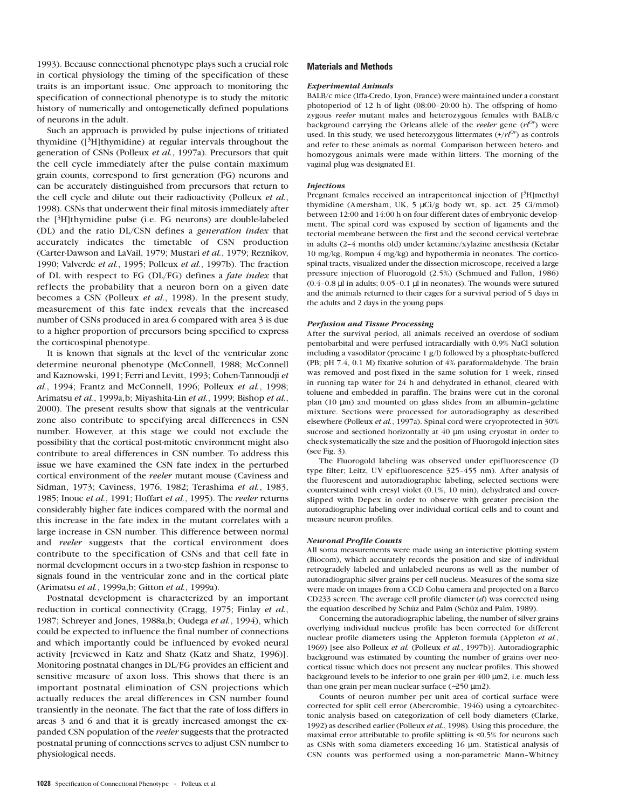1993). Because connectional phenotype plays such a crucial role in cortical physiology the timing of the specification of these traits is an important issue. One approach to monitoring the specification of connectional phenotype is to study the mitotic history of numerically and ontogenetically defined populations of neurons in the adult.

Such an approach is provided by pulse injections of tritiated thymidine  $(\frac{3}{H}]$ thymidine) at regular intervals throughout the generation of CSNs (Polleux *et al.*, 1997a). Precursors that quit the cell cycle immediately after the pulse contain maximum grain counts, correspond to first generation (FG) neurons and can be accurately distinguished from precursors that return to the cell cycle and dilute out their radioactivity (Polleux *et al.*, 1998). CSNs that underwent their final mitosis immediately after the  $[3H]$ thymidine pulse (i.e. FG neurons) are double-labeled (DL) and the ratio DL/CSN defines a *generation index* that accurately indicates the timetable of CSN production (Carter-Dawson and LaVail, 1979; Mustari *et al.*, 1979; Reznikov, 1990; Valverde *et al.*, 1995; Polleux *et al.*, 1997b). The fraction of DL with respect to FG (DL/FG) defines a *fate index* that reflects the probability that a neuron born on a given date becomes a CSN (Polleux *et al.*, 1998). In the present study, measurement of this fate index reveals that the increased number of CSNs produced in area 6 compared with area 3 is due to a higher proportion of precursors being specified to express the corticospinal phenotype.

It is known that signals at the level of the ventricular zone determine neuronal phenotype (McConnell, 1988; McConnell and Kaznowski, 1991; Ferri and Levitt, 1993; Cohen-Tannoudji *et al.*, 1994; Frantz and McConnell, 1996; Polleux *et al.*, 1998; Arimatsu *et al.*, 1999a,b; Miyashita-Lin *et al.*, 1999; Bishop *et al.*, 2000). The present results show that signals at the ventricular zone also contribute to specifying areal differences in CSN number. However, at this stage we could not exclude the possibility that the cortical post-mitotic environment might also contribute to areal differences in CSN number. To address this issue we have examined the CSN fate index in the perturbed cortical environment of the *reeler* mutant mouse (Caviness and Sidman, 1973; Caviness, 1976, 1982; Terashima *et al.*, 1983, 1985; Inoue *et al.*, 1991; Hoffart *et al.*, 1995). The *reeler* returns considerably higher fate indices compared with the normal and this increase in the fate index in the mutant correlates with a large increase in CSN number. This difference between normal and *reeler* suggests that the cortical environment does contribute to the specification of CSNs and that cell fate in normal development occurs in a two-step fashion in response to signals found in the ventricular zone and in the cortical plate (Arimatsu *et al.*, 1999a,b; Gitton *et al.*, 1999a).

Postnatal development is characterized by an important reduction in cortical connectivity (Cragg, 1975; Finlay *et al.*, 1987; Schreyer and Jones, 1988a,b; Oudega *et al.*, 1994), which could be expected to influence the final number of connections and which importantly could be influenced by evoked neural activity [reviewed in Katz and Shatz (Katz and Shatz, 1996)]. Monitoring postnatal changes in DL/FG provides an efficient and sensitive measure of axon loss. This shows that there is an important postnatal elimination of CSN projections which actually reduces the areal differences in CSN number found transiently in the neonate. The fact that the rate of loss differs in areas 3 and 6 and that it is greatly increased amongst the expanded CSN population of the *reeler* suggests that the protracted postnatal pruning of connections serves to adjust CSN number to physiological needs.

### **Materials and Methods**

#### *Experimental Animals*

BALB/c mice (Iffa-Credo, Lyon, France) were maintained under a constant photoperiod of 12 h of light (08:00–20:00 h). The offspring of homozygous *reeler* mutant males and heterozygous females with BALB/c background carrying the Orleans allele of the *reeler* gene (*rlOr*) were used. In this study, we used heterozygous littermates  $(+/rt^{0r})$  as controls and refer to these animals as normal. Comparison between hetero- and homozygous animals were made within litters. The morning of the vaginal plug was designated E1.

#### *Injections*

Pregnant females received an intraperitoneal injection of [3H]methyl thymidine (Amersham, UK, 5 µCi/g body wt, sp. act. 25 Ci/mmol) between 12:00 and 14:00 h on four different dates of embryonic development. The spinal cord was exposed by section of ligaments and the tectorial membrane between the first and the second cervical vertebrae in adults (2–4 months old) under ketamine/xylazine anesthesia (Ketalar 10 mg/kg, Rompun 4 mg/kg) and hypothermia in neonates. The corticospinal tracts, visualized under the dissection microscope, received a large pressure injection of Fluorogold (2.5%) (Schmued and Fallon, 1986)  $(0.4-0.8 \text{ µ}$  in adults;  $0.05-0.1 \text{ µ}$  in neonates). The wounds were sutured and the animals returned to their cages for a survival period of 5 days in the adults and 2 days in the young pups.

### *Perfusion and Tissue Processing*

After the survival period, all animals received an overdose of sodium pentobarbital and were perfused intracardially with 0.9% NaCl solution including a vasodilator (procaine 1 g/l) followed by a phosphate-buffered (PB; pH 7.4, 0.1 M) fixative solution of 4% paraformaldehyde. The brain was removed and post-fixed in the same solution for 1 week, rinsed in running tap water for 24 h and dehydrated in ethanol, cleared with toluene and embedded in paraffin. The brains were cut in the coronal plan (10 µm) and mounted on glass slides from an albumin–gelatine mixture. Sections were processed for autoradiography as described elsewhere (Polleux *et al.*, 1997a). Spinal cord were cryoprotected in 30% sucrose and sectioned horizontally at 40 um using cryostat in order to check systematically the size and the position of Fluorogold injection sites (see Fig. 3).

The Fluorogold labeling was observed under epifluorescence (D type filter; Leitz, UV epifluorescence 325–455 nm). After analysis of the fluorescent and autoradiographic labeling, selected sections were counterstained with cresyl violet (0.1%, 10 min), dehydrated and coverslipped with Depex in order to observe with greater precision the autoradiographic labeling over individual cortical cells and to count and measure neuron profiles.

#### *Neuronal Profile Counts*

All soma measurements were made using an interactive plotting system (Biocom), which accurately records the position and size of individual retrogradely labeled and unlabeled neurons as well as the number of autoradiographic silver grains per cell nucleus. Measures of the soma size were made on images from a CCD Cohu camera and projected on a Barco CD233 screen. The average cell profile diameter (*d*) was corrected using the equation described by Schüz and Palm (Schüz and Palm, 1989).

Concerning the autoradiographic labeling, the number of silver grains overlying individual nucleus profile has been corrected for different nuclear profile diameters using the Appleton formula (Appleton *et al.*, 1969) [see also Polleux *et al.* (Polleux *et al.*, 1997b)]. Autoradiographic background was estimated by counting the number of grains over neocortical tissue which does not present any nuclear profiles. This showed background levels to be inferior to one grain per 400  $\mu$ m2, i.e. much less than one grain per mean nuclear surface (∼250 µm2).

Counts of neuron number per unit area of cortical surface were corrected for split cell error (Abercrombie, 1946) using a cytoarchitectonic analysis based on categorization of cell body diameters (Clarke, 1992) as described earlier (Polleux *et al.*, 1998). Using this procedure, the maximal error attributable to profile splitting is <0.5% for neurons such as CSNs with soma diameters exceeding 16 µm. Statistical analysis of CSN counts was performed using a non-parametric Mann–Whitney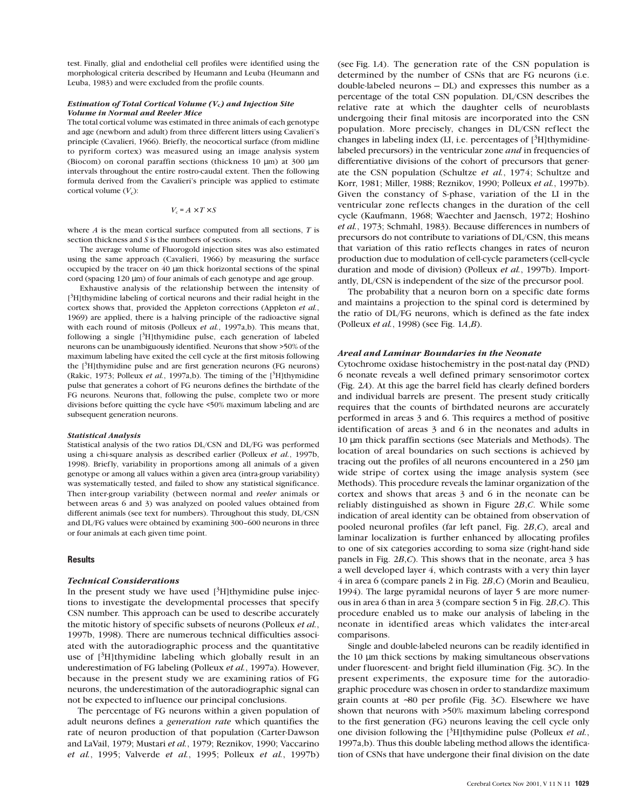test. Finally, glial and endothelial cell profiles were identified using the morphological criteria described by Heumann and Leuba (Heumann and Leuba, 1983) and were excluded from the profile counts.

### *Estimation of Total Cortical Volume (V***c***) and Injection Site Volume in Normal and Reeler Mice*

The total cortical volume was estimated in three animals of each genotype and age (newborn and adult) from three different litters using Cavalieri's principle (Cavalieri, 1966). Briefly, the neocortical surface (from midline to pyriform cortex) was measured using an image analysis system (Biocom) on coronal paraffin sections (thickness 10 µm) at 300 µm intervals throughout the entire rostro-caudal extent. Then the following formula derived from the Cavalieri's principle was applied to estimate cortical volume  $(V_c)$ :

### $V_c = A \times T \times S$

where *A* is the mean cortical surface computed from all sections, *T* is section thickness and *S* is the numbers of sections.

The average volume of Fluorogold injection sites was also estimated using the same approach (Cavalieri, 1966) by measuring the surface occupied by the tracer on 40 µm thick horizontal sections of the spinal cord (spacing 120  $\mu$ m) of four animals of each genotype and age group.

Exhaustive analysis of the relationship between the intensity of [<sup>3</sup>H]thymidine labeling of cortical neurons and their radial height in the cortex shows that, provided the Appleton corrections (Appleton *et al.*, 1969) are applied, there is a halving principle of the radioactive signal with each round of mitosis (Polleux *et al.*, 1997a,b). This means that, following a single [<sup>3</sup>H]thymidine pulse, each generation of labeled neurons can be unambiguously identified. Neurons that show >50% of the maximum labeling have exited the cell cycle at the first mitosis following the  $[3H]$ thymidine pulse and are first generation neurons (FG neurons) (Rakic, 1973; Polleux *et al.*, 1997a,b). The timing of the  $[3H]$ thymidine pulse that generates a cohort of FG neurons defines the birthdate of the FG neurons. Neurons that, following the pulse, complete two or more divisions before quitting the cycle have <50% maximum labeling and are subsequent generation neurons.

#### *Statistical Analysis*

Statistical analysis of the two ratios DL/CSN and DL/FG was performed using a chi-square analysis as described earlier (Polleux *et al.*, 1997b, 1998). Briefly, variability in proportions among all animals of a given genotype or among all values within a given area (intra-group variability) was systematically tested, and failed to show any statistical significance. Then inter-group variability (between normal and *reeler* animals or between areas 6 and 3) was analyzed on pooled values obtained from different animals (see text for numbers). Throughout this study, DL/CSN and DL/FG values were obtained by examining 300–600 neurons in three or four animals at each given time point.

### **Results**

### *Technical Considerations*

In the present study we have used  $[3H]$ thymidine pulse injections to investigate the developmental processes that specify CSN number. This approach can be used to describe accurately the mitotic history of specific subsets of neurons (Polleux *et al.*, 1997b, 1998). There are numerous technical difficulties associated with the autoradiographic process and the quantitative use of  $[3H]$ thymidine labeling which globally result in an underestimation of FG labeling (Polleux *et al.*, 1997a). However, because in the present study we are examining ratios of FG neurons, the underestimation of the autoradiographic signal can not be expected to influence our principal conclusions.

The percentage of FG neurons within a given population of adult neurons defines a *generation rate* which quantifies the rate of neuron production of that population (Carter-Dawson and LaVail, 1979; Mustari *et al.*, 1979; Reznikov, 1990; Vaccarino *et al.*, 1995; Valverde *et al.*, 1995; Polleux *et al.*, 1997b) (see Fig. 1*A*). The generation rate of the CSN population is determined by the number of CSNs that are FG neurons (i.e. double-labeled neurons — DL) and expresses this number as a percentage of the total CSN population. DL/CSN describes the relative rate at which the daughter cells of neuroblasts undergoing their final mitosis are incorporated into the CSN population. More precisely, changes in DL/CSN reflect the changes in labeling index (LI, i.e. percentages of  $[3H]$ thymidinelabeled precursors) in the ventricular zone *and* in frequencies of differentiative divisions of the cohort of precursors that generate the CSN population (Schultze *et al.*, 1974; Schultze and Korr, 1981; Miller, 1988; Reznikov, 1990; Polleux *et al.*, 1997b). Given the constancy of S-phase, variation of the LI in the ventricular zone ref lects changes in the duration of the cell cycle (Kaufmann, 1968; Waechter and Jaensch, 1972; Hoshino *et al.*, 1973; Schmahl, 1983). Because differences in numbers of precursors do not contribute to variations of DL/CSN, this means that variation of this ratio reflects changes in rates of neuron production due to modulation of cell-cycle parameters (cell-cycle duration and mode of division) (Polleux *et al.*, 1997b). Importantly, DL/CSN is independent of the size of the precursor pool.

The probability that a neuron born on a specific date forms and maintains a projection to the spinal cord is determined by the ratio of DL/FG neurons, which is defined as the fate index (Polleux *et al.*, 1998) (see Fig. 1*A*,*B*).

### *Areal and Laminar Boundaries in the Neonate*

Cytochrome oxidase histochemistry in the post-natal day (PND) 6 neonate reveals a well defined primary sensorimotor cortex (Fig. 2*A*). At this age the barrel field has clearly defined borders and individual barrels are present. The present study critically requires that the counts of birthdated neurons are accurately performed in areas 3 and 6. This requires a method of positive identification of areas 3 and 6 in the neonates and adults in 10 µm thick paraffin sections (see Materials and Methods). The location of areal boundaries on such sections is achieved by tracing out the profiles of all neurons encountered in a 250 µm wide stripe of cortex using the image analysis system (see Methods). This procedure reveals the laminar organization of the cortex and shows that areas 3 and 6 in the neonate can be reliably distinguished as shown in Figure 2*B*,*C*. While some indication of areal identity can be obtained from observation of pooled neuronal profiles (far left panel, Fig. 2*B*,*C*), areal and laminar localization is further enhanced by allocating profiles to one of six categories according to soma size (right-hand side panels in Fig. 2*B*,*C*). This shows that in the neonate, area 3 has a well developed layer 4, which contrasts with a very thin layer 4 in area 6 (compare panels 2 in Fig. 2*B*,*C*) (Morin and Beaulieu, 1994). The large pyramidal neurons of layer 5 are more numerous in area 6 than in area 3 (compare section 5 in Fig. 2*B*,*C*). This procedure enabled us to make our analysis of labeling in the neonate in identified areas which validates the inter-areal comparisons.

Single and double-labeled neurons can be readily identified in the 10 µm thick sections by making simultaneous observations under fluorescent- and bright field illumination (Fig. 3*C*). In the present experiments, the exposure time for the autoradiographic procedure was chosen in order to standardize maximum grain counts at ∼80 per profile (Fig. 3*C*). Elsewhere we have shown that neurons with >50% maximum labeling correspond to the first generation (FG) neurons leaving the cell cycle only one division following the [3H]thymidine pulse (Polleux *et al.*, 1997a,b). Thus this double labeling method allows the identification of CSNs that have undergone their final division on the date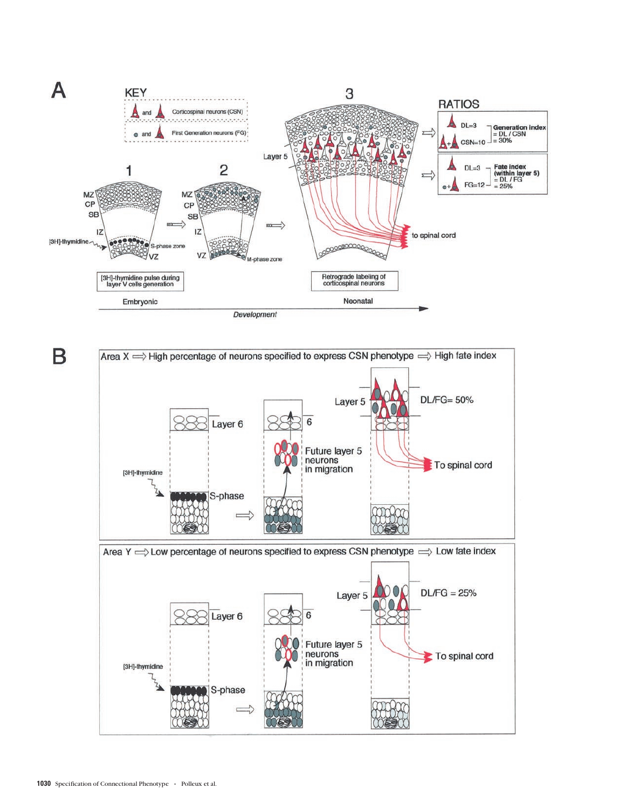

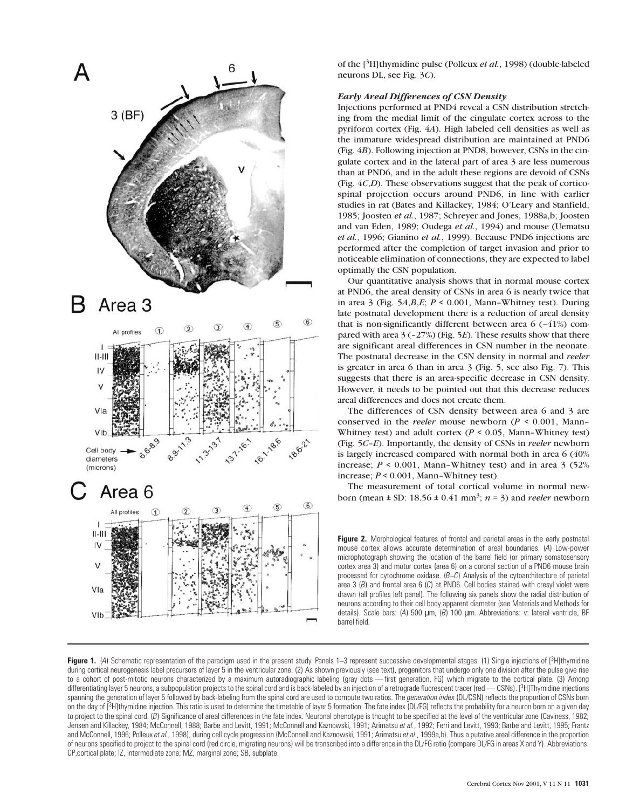

of the [3H]thymidine pulse (Polleux *et al.*, 1998) (double-labeled neurons DL, see Fig. 3*C*).

# *Early Areal Differences of CSN Density*

Injections performed at PND4 reveal a CSN distribution stretching from the medial limit of the cingulate cortex across to the pyriform cortex (Fig. 4*A*). High labeled cell densities as well as the immature widespread distribution are maintained at PND6 (Fig. 4*B*). Following injection at PND8, however, CSNs in the cingulate cortex and in the lateral part of area 3 are less numerous than at PND6, and in the adult these regions are devoid of CSNs (Fig. 4*C*,*D*). These observations suggest that the peak of corticospinal projection occurs around PND6, in line with earlier studies in rat (Bates and Killackey, 1984; O'Leary and Stanfield, 1985; Joosten *et al.*, 1987; Schreyer and Jones, 1988a,b; Joosten and van Eden, 1989; Oudega *et al.*, 1994) and mouse (Uematsu *et al.*, 1996; Gianino *et al.*, 1999). Because PND6 injections are performed after the completion of target invasion and prior to noticeable elimination of connections, they are expected to label optimally the CSN population.

Our quantitative analysis shows that in normal mouse cortex at PND6, the areal density of CSNs in area 6 is nearly twice that in area  $\beta$  (Fig. 5*A,B,E*;  $P \le 0.001$ , Mann–Whitney test). During late postnatal development there is a reduction of areal density that is non-significantly different between area  $6$  (-41%) compared with area 3 (–27%) (Fig. 5*E*). These results show that there are significant areal differences in CSN number in the neonate. The postnatal decrease in the CSN density in normal and *reeler* is greater in area 6 than in area 3 (Fig. 5, see also Fig. 7). This suggests that there is an area-specific decrease in CSN density. However, it needs to be pointed out that this decrease reduces areal differences and does not create them.

The differences of CSN density between area 6 and 3 are conserved in the *reeler* mouse newborn (*P* < 0.001, Mann– Whitney test) and adult cortex (*P* < 0.05, Mann–Whitney test) (Fig. 5*C*–*E*). Importantly, the density of CSNs in *reeler* newborn is largely increased compared with normal both in area 6 (40% increase;  $P \le 0.001$ , Mann-Whitney test) and in area 3 (52%) increase; *P* < 0.001, Mann–Whitney test).

The measurement of total cortical volume in normal newborn (mean  $\pm$  SD: 18.56  $\pm$  0.41 mm<sup>3</sup>; *n* = 3) and *reeler* newborn

**Figure 2.** Morphological features of frontal and parietal areas in the early postnatal mouse cortex allows accurate determination of areal boundaries. (*A*) Low-power microphotograph showing the location of the barrel field (or primary somatosensory cortex area 3) and motor cortex (area 6) on a coronal section of a PND6 mouse brain processed for cytochrome oxidase. (*B*–*C*) Analysis of the cytoarchitecture of parietal area 3 (*B*) and frontal area 6 (*C*) at PND6. Cell bodies stained with cresyl violet were drawn (all profiles left panel). The following six panels show the radial distribution of neurons according to their cell body apparent diameter (see Materials and Methods for details). Scale bars: (*A*) 500 µm, (*B*) 100 µm. Abbreviations: v: lateral ventricle, BF barrel field.

Figure 1. (4) Schematic representation of the paradigm used in the present study. Panels 1–3 represent successive developmental stages: (1) Single injections of [<sup>3</sup>H]thymidine during cortical neurogenesis label precursors of layer 5 in the ventricular zone. (2) As shown previously (see text), progenitors that undergo only one division after the pulse give rise to a cohort of post-mitotic neurons characterized by a maximum autoradiographic labeling (gray dots - first generation, FG) which migrate to the cortical plate. (3) Among differentiating layer 5 neurons, a subpopulation projects to the spinal cord and is back-labeled by an injection of a retrograde fluorescent tracer (red - CSNs). [3H]Thymidine injections spanning the generation of layer 5 followed by back-labeling from the spinal cord are used to compute two ratios. The *generation index* (DL/CSN) reflects the proportion of CSNs born on the day of [3H]thymidine injection. This ratio is used to determine the timetable of layer 5 formation. The fate index (DL/FG) reflects the probability for a neuron born on a given day to project to the spinal cord. (*B*) Significance of areal differences in the fate index. Neuronal phenotype is thought to be specified at the level of the ventricular zone (Caviness, 1982; Jensen and Killackey, 1984; McConnell, 1988; Barbe and Levitt, 1991; McConnell and Kaznowski, 1991; Arimatsu et al., 1992; Ferri and Levitt, 1993; Barbe and Levitt, 1995; Frantz and McConnell, 1996; Polleux *et al.*, 1998), during cell cycle progression (McConnell and Kaznowski, 1991; Arimatsu *et al.*, 1999a,b). Thus a putative areal difference in the proportion of neurons specified to project to the spinal cord (red circle, migrating neurons) will be transcribed into a difference in the DL/FG ratio (compare DL/FG in areas X and Y). Abbreviations: CP,cortical plate; IZ, intermediate zone; MZ, marginal zone; SB, subplate.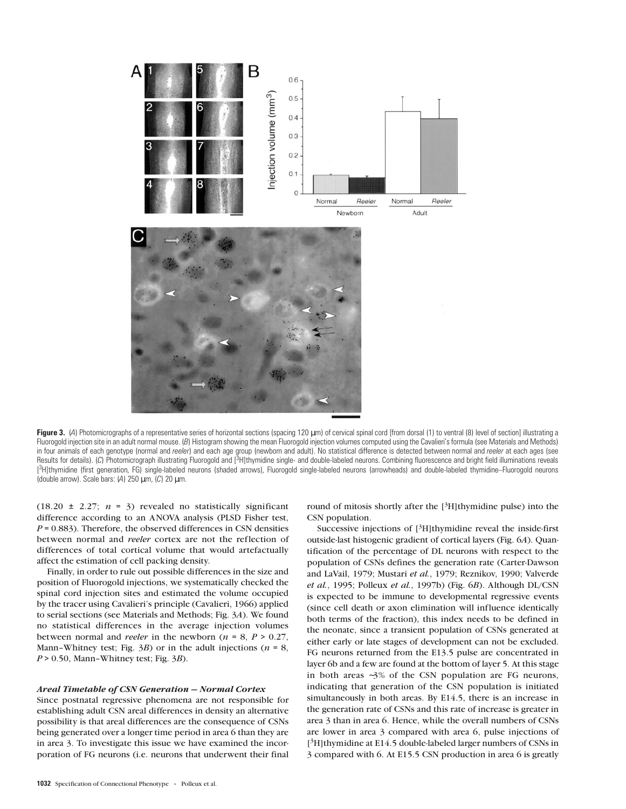

Figure 3. (4) Photomicrographs of a representative series of horizontal sections (spacing 120 µm) of cervical spinal cord [from dorsal (1) to ventral (8) level of section] illustrating a Fluorogold injection site in an adult normal mouse. (B) Histogram showing the mean Fluorogold injection volumes computed using the Cavalieri's formula (see Materials and Methods) in four animals of each genotype (normal and *reeler*) and each age group (newborn and adult). No statistical difference is detected between normal and *reeler* at each ages (see Results for details). (*C*) Photomicrograph illustrating Fluorogold and [<sup>3</sup>H]thymidine single- and double-labeled neurons. Combining fluorescence and bright field illuminations reveals [ 3H]thymidine (first generation, FG) single-labeled neurons (shaded arrows), Fluorogold single-labeled neurons (arrowheads) and double-labeled thymidine–Fluorogold neurons (double arrow). Scale bars: (*A*) 250 µm, (*C*) 20 µm.

(18.20  $\pm$  2.27;  $n = 3$ ) revealed no statistically significant difference according to an ANOVA analysis (PLSD Fisher test,  $P = 0.883$ ). Therefore, the observed differences in CSN densities between normal and *reeler* cortex are not the reflection of differences of total cortical volume that would artefactually affect the estimation of cell packing density.

Finally, in order to rule out possible differences in the size and position of Fluorogold injections, we systematically checked the spinal cord injection sites and estimated the volume occupied by the tracer using Cavalieri's principle (Cavalieri, 1966) applied to serial sections (see Materials and Methods; Fig. 3*A*). We found no statistical differences in the average injection volumes between normal and *reeler* in the newborn ( $n = 8$ ,  $P > 0.27$ , Mann–Whitney test; Fig.  $3B$ ) or in the adult injections ( $n = 8$ ,  $P > 0.50$ , Mann–Whitney test; Fig.  $3B$ ).

# *Areal Timetable of CSN Generation — Normal Cortex*

Since postnatal regressive phenomena are not responsible for establishing adult CSN areal differences in density an alternative possibility is that areal differences are the consequence of CSNs being generated over a longer time period in area 6 than they are in area 3. To investigate this issue we have examined the incorporation of FG neurons (i.e. neurons that underwent their final round of mitosis shortly after the  $[3H]$ thymidine pulse) into the CSN population.

Successive injections of  $[3H]$ thymidine reveal the inside-first outside-last histogenic gradient of cortical layers (Fig. 6*A*). Quantification of the percentage of DL neurons with respect to the population of CSNs defines the generation rate (Carter-Dawson and LaVail, 1979; Mustari *et al.*, 1979; Reznikov, 1990; Valverde *et al.*, 1995; Polleux *et al.*, 1997b) (Fig. 6*B*). Although DL/CSN is expected to be immune to developmental regressive events (since cell death or axon elimination will influence identically both terms of the fraction), this index needs to be defined in the neonate, since a transient population of CSNs generated at either early or late stages of development can not be excluded. FG neurons returned from the E13.5 pulse are concentrated in layer 6b and a few are found at the bottom of layer 5. At this stage in both areas ∼3% of the CSN population are FG neurons, indicating that generation of the CSN population is initiated simultaneously in both areas. By E14.5, there is an increase in the generation rate of CSNs and this rate of increase is greater in area 3 than in area 6. Hence, while the overall numbers of CSNs are lower in area 3 compared with area 6, pulse injections of  $[3H]$ thymidine at E14.5 double-labeled larger numbers of CSNs in 3 compared with 6. At E15.5 CSN production in area 6 is greatly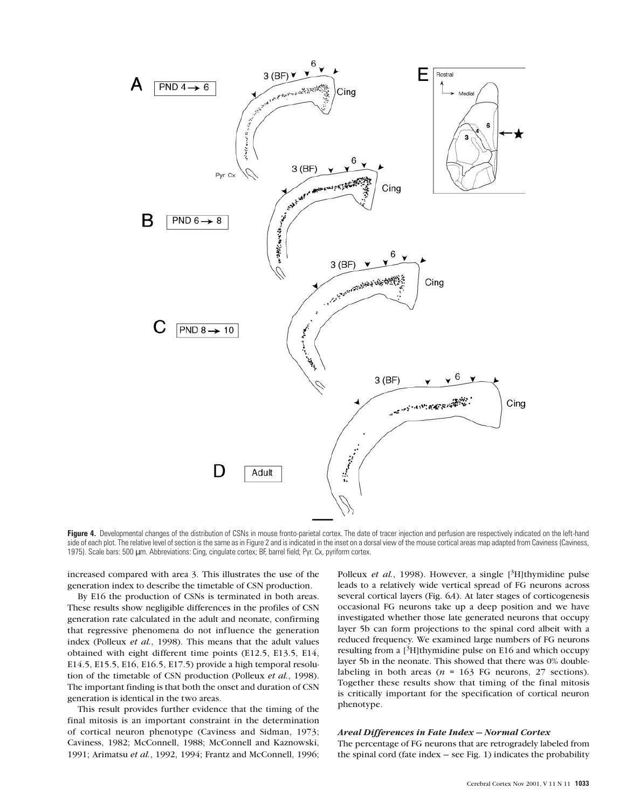

**Figure 4.** Developmental changes of the distribution of CSNs in mouse fronto-parietal cortex. The date of tracer injection and perfusion are respectively indicated on the left-hand side of each plot. The relative level of section is the same as in Figure 2 and is indicated in the inset on a dorsal view of the mouse cortical areas map adapted from Caviness (Caviness, 1975). Scale bars: 500 µm. Abbreviations: Cing, cingulate cortex; BF, barrel field; Pyr. Cx, pyriform cortex.

increased compared with area 3. This illustrates the use of the generation index to describe the timetable of CSN production.

By E16 the production of CSNs is terminated in both areas. These results show negligible differences in the profiles of CSN generation rate calculated in the adult and neonate, confirming that regressive phenomena do not influence the generation index (Polleux *et al.*, 1998). This means that the adult values obtained with eight different time points (E12.5, E13.5, E14, E14.5, E15.5, E16, E16.5, E17.5) provide a high temporal resolution of the timetable of CSN production (Polleux *et al.*, 1998). The important finding is that both the onset and duration of CSN generation is identical in the two areas.

This result provides further evidence that the timing of the final mitosis is an important constraint in the determination of cortical neuron phenotype (Caviness and Sidman, 1973; Caviness, 1982; McConnell, 1988; McConnell and Kaznowski, 1991; Arimatsu *et al.*, 1992, 1994; Frantz and McConnell, 1996; Polleux *et al.*, 1998). However, a single [<sup>3</sup>H]thymidine pulse leads to a relatively wide vertical spread of FG neurons across several cortical layers (Fig. 6*A*). At later stages of corticogenesis occasional FG neurons take up a deep position and we have investigated whether those late generated neurons that occupy layer 5b can form projections to the spinal cord albeit with a reduced frequency. We examined large numbers of FG neurons resulting from a  $[3H]$ thymidine pulse on E16 and which occupy layer 5b in the neonate. This showed that there was 0% doublelabeling in both areas  $(n = 163 \text{ FG}$  neurons, 27 sections). Together these results show that timing of the final mitosis is critically important for the specification of cortical neuron phenotype.

### *Areal Differences in Fate Index — Normal Cortex*

The percentage of FG neurons that are retrogradely labeled from the spinal cord (fate index  $-$  see Fig. 1) indicates the probability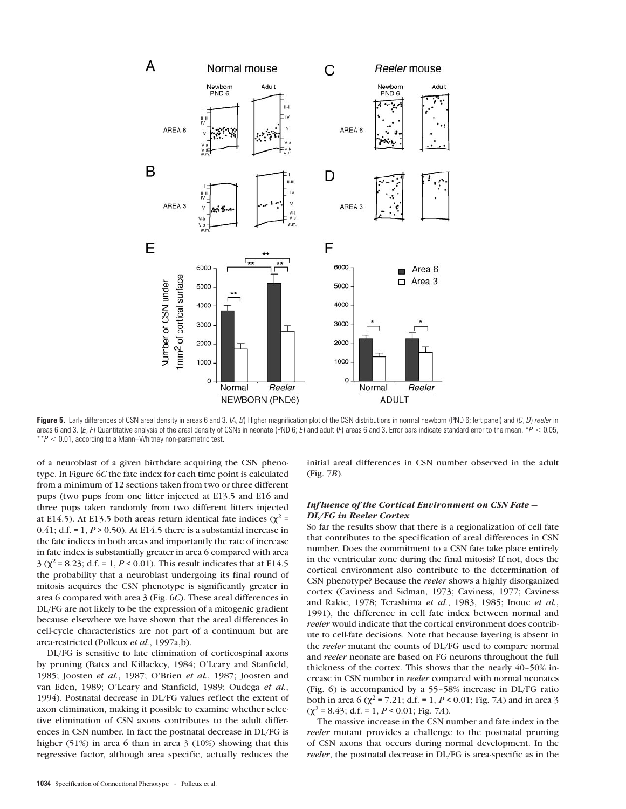

Figure 5. Early differences of CSN areal density in areas 6 and 3. (A, B) Higher magnification plot of the CSN distributions in normal newborn (PND 6; left panel) and (C, D) reeler in areas 6 and 3. (*E*, *F*) Quantitative analysis of the areal density of CSNs in neonate (PND 6; *E*) and adult (*F*) areas 6 and 3. Error bars indicate standard error to the mean. \**P* < 0.05, \*\**P* < 0.01, according to a Mann–Whitney non-parametric test.

of a neuroblast of a given birthdate acquiring the CSN phenotype. In Figure 6*C* the fate index for each time point is calculated from a minimum of 12 sections taken from two or three different pups (two pups from one litter injected at E13.5 and E16 and three pups taken randomly from two different litters injected at E14.5). At E13.5 both areas return identical fate indices ( $χ² =$ 0.41; d.f. = 1,  $P > 0.50$ ). At E14.5 there is a substantial increase in the fate indices in both areas and importantly the rate of increase in fate index is substantially greater in area 6 compared with area 3 ( $\chi^2$  = 8.23; d.f. = 1, *P* < 0.01). This result indicates that at E14.5 the probability that a neuroblast undergoing its final round of mitosis acquires the CSN phenotype is significantly greater in area 6 compared with area 3 (Fig. 6*C*). These areal differences in DL/FG are not likely to be the expression of a mitogenic gradient because elsewhere we have shown that the areal differences in cell-cycle characteristics are not part of a continuum but are area-restricted (Polleux *et al.*, 1997a,b).

DL/FG is sensitive to late elimination of corticospinal axons by pruning (Bates and Killackey, 1984; O'Leary and Stanfield, 1985; Joosten *et al.*, 1987; O'Brien *et al.*, 1987; Joosten and van Eden, 1989; O'Leary and Stanfield, 1989; Oudega *et al.*, 1994). Postnatal decrease in DL/FG values reflect the extent of axon elimination, making it possible to examine whether selective elimination of CSN axons contributes to the adult differences in CSN number. In fact the postnatal decrease in DL/FG is higher (51%) in area 6 than in area 3 (10%) showing that this regressive factor, although area specific, actually reduces the

initial areal differences in CSN number observed in the adult (Fig. 7*B*).

# *Inf luence of the Cortical Environment on CSN Fate — DL/FG in Reeler Cortex*

So far the results show that there is a regionalization of cell fate that contributes to the specification of areal differences in CSN number. Does the commitment to a CSN fate take place entirely in the ventricular zone during the final mitosis? If not, does the cortical environment also contribute to the determination of CSN phenotype? Because the *reeler* shows a highly disorganized cortex (Caviness and Sidman, 1973; Caviness, 1977; Caviness and Rakic, 1978; Terashima *et al.*, 1983, 1985; Inoue *et al.*, 1991), the difference in cell fate index between normal and *reeler* would indicate that the cortical environment does contribute to cell-fate decisions. Note that because layering is absent in the *reeler* mutant the counts of DL/FG used to compare normal and *reeler* neonate are based on FG neurons throughout the full thickness of the cortex. This shows that the nearly 40–50% increase in CSN number in *reeler* compared with normal neonates (Fig. 6) is accompanied by a 55–58% increase in DL/FG ratio both in area 6 ( $\chi^2$  = 7.21; d.f. = 1, *P* < 0.01; Fig. 7*A*) and in area 3  $(\chi^2 = 8.43; d.f. = 1, P < 0.01; Fig. 7A).$ 

The massive increase in the CSN number and fate index in the *reeler* mutant provides a challenge to the postnatal pruning of CSN axons that occurs during normal development. In the *reeler*, the postnatal decrease in DL/FG is area-specific as in the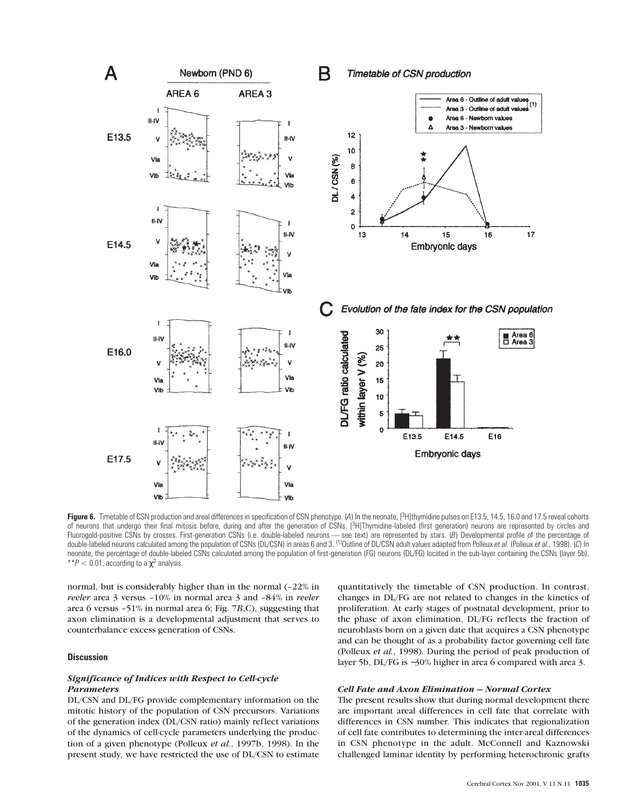

Figure 6. Timetable of CSN production and areal differences in specification of CSN phenotype. (A) In the neonate, [<sup>3</sup>H]thymidine pulses on E13.5, 14.5, 16.0 and 17.5 reveal cohorts of neurons that undergo their final mitosis before, during and after the generation of CSNs. [3H]Thymidine-labeled (first generation) neurons are represented by circles and Fluorogold-positive CSNs by crosses. First-generation CSNs (i.e. double-labeled neurons — see text) are represented by stars. (B) Developmental profile of the percentage of<br>double-labeled neurons calculated among the popul neonate, the percentage of double-labeled CSNs calculated among the population of first-generation (FG) neurons (DL/FG) located in the sub-layer containing the CSNs (layer 5b). \*\* $P < 0.01$ , according to a  $\chi^2$  analysis.

normal, but is considerably higher than in the normal (–22% in *reeler* area 3 versus –10% in normal area 3 and –84% in *reeler* area 6 versus –51% in normal area 6; Fig. 7*B*,C), suggesting that axon elimination is a developmental adjustment that serves to counterbalance excess generation of CSNs.

### **Discussion**

# *Significance of Indices with Respect to Cell-cycle Parameters*

DL/CSN and DL/FG provide complementary information on the mitotic history of the population of CSN precursors. Variations of the generation index (DL/CSN ratio) mainly reflect variations of the dynamics of cell-cycle parameters underlying the production of a given phenotype (Polleux *et al.*, 1997b, 1998). In the present study, we have restricted the use of DL/CSN to estimate

quantitatively the timetable of CSN production. In contrast, changes in DL/FG are not related to changes in the kinetics of proliferation. At early stages of postnatal development, prior to the phase of axon elimination, DL/FG reflects the fraction of neuroblasts born on a given date that acquires a CSN phenotype and can be thought of as a probability factor governing cell fate (Polleux *et al.*, 1998). During the period of peak production of layer 5b, DL/FG is ∼30% higher in area 6 compared with area 3.

# *Cell Fate and Axon Elimination — Normal Cortex*

The present results show that during normal development there are important areal differences in cell fate that correlate with differences in CSN number. This indicates that regionalization of cell fate contributes to determining the inter-areal differences in CSN phenotype in the adult. McConnell and Kaznowski challenged laminar identity by performing heterochronic grafts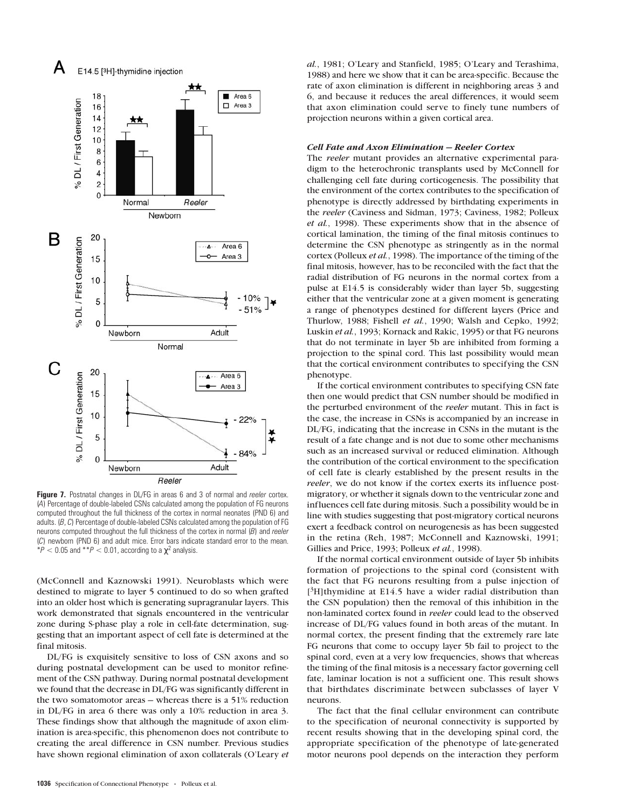

**Figure 7.** Postnatal changes in DL/FG in areas 6 and 3 of normal and *reeler* cortex. (*A*) Percentage of double-labeled CSNs calculated among the population of FG neurons computed throughout the full thickness of the cortex in normal neonates (PND 6) and adults. (*B*, *C*) Percentage of double-labeled CSNs calculated among the population of FG neurons computed throughout the full thickness of the cortex in normal (*B*) and *reeler* (*C*) newborn (PND 6) and adult mice. Error bars indicate standard error to the mean.  $*P < 0.05$  and  $*P < 0.01$ , according to a  $\chi^2$  analysis.

(McConnell and Kaznowski 1991). Neuroblasts which were destined to migrate to layer 5 continued to do so when grafted into an older host which is generating supragranular layers. This work demonstrated that signals encountered in the ventricular zone during S-phase play a role in cell-fate determination, suggesting that an important aspect of cell fate is determined at the final mitosis.

DL/FG is exquisitely sensitive to loss of CSN axons and so during postnatal development can be used to monitor refinement of the CSN pathway. During normal postnatal development we found that the decrease in DL/FG was significantly different in the two somatomotor areas — whereas there is a 51% reduction in DL/FG in area 6 there was only a 10% reduction in area 3. These findings show that although the magnitude of axon elimination is area-specific, this phenomenon does not contribute to creating the areal difference in CSN number. Previous studies have shown regional elimination of axon collaterals (O'Leary *et* *al.*, 1981; O'Leary and Stanfield, 1985; O'Leary and Terashima, 1988) and here we show that it can be area-specific. Because the rate of axon elimination is different in neighboring areas 3 and 6, and because it reduces the areal differences, it would seem that axon elimination could serve to finely tune numbers of projection neurons within a given cortical area.

#### *Cell Fate and Axon Elimination — Reeler Cortex*

The *reeler* mutant provides an alternative experimental paradigm to the heterochronic transplants used by McConnell for challenging cell fate during corticogenesis. The possibility that the environment of the cortex contributes to the specification of phenotype is directly addressed by birthdating experiments in the *reeler* (Caviness and Sidman, 1973; Caviness, 1982; Polleux *et al.*, 1998). These experiments show that in the absence of cortical lamination, the timing of the final mitosis continues to determine the CSN phenotype as stringently as in the normal cortex (Polleux *et al.*, 1998). The importance of the timing of the final mitosis, however, has to be reconciled with the fact that the radial distribution of FG neurons in the normal cortex from a pulse at E14.5 is considerably wider than layer 5b, suggesting either that the ventricular zone at a given moment is generating a range of phenotypes destined for different layers (Price and Thurlow, 1988; Fishell *et al.*, 1990; Walsh and Cepko, 1992; Luskin *et al.*, 1993; Kornack and Rakic, 1995) or that FG neurons that do not terminate in layer 5b are inhibited from forming a projection to the spinal cord. This last possibility would mean that the cortical environment contributes to specifying the CSN phenotype.

If the cortical environment contributes to specifying CSN fate then one would predict that CSN number should be modified in the perturbed environment of the *reeler* mutant. This in fact is the case, the increase in CSNs is accompanied by an increase in DL/FG, indicating that the increase in CSNs in the mutant is the result of a fate change and is not due to some other mechanisms such as an increased survival or reduced elimination. Although the contribution of the cortical environment to the specification of cell fate is clearly established by the present results in the *reeler*, we do not know if the cortex exerts its influence postmigratory, or whether it signals down to the ventricular zone and influences cell fate during mitosis. Such a possibility would be in line with studies suggesting that post-migratory cortical neurons exert a feedback control on neurogenesis as has been suggested in the retina (Reh, 1987; McConnell and Kaznowski, 1991; Gillies and Price, 1993; Polleux *et al.*, 1998).

If the normal cortical environment outside of layer 5b inhibits formation of projections to the spinal cord (consistent with the fact that FG neurons resulting from a pulse injection of [<sup>3</sup>H]thymidine at E14.5 have a wider radial distribution than the CSN population) then the removal of this inhibition in the non-laminated cortex found in *reeler* could lead to the observed increase of DL/FG values found in both areas of the mutant. In normal cortex, the present finding that the extremely rare late FG neurons that come to occupy layer 5b fail to project to the spinal cord, even at a very low frequencies, shows that whereas the timing of the final mitosis is a necessary factor governing cell fate, laminar location is not a sufficient one. This result shows that birthdates discriminate between subclasses of layer V neurons.

The fact that the final cellular environment can contribute to the specification of neuronal connectivity is supported by recent results showing that in the developing spinal cord, the appropriate specification of the phenotype of late-generated motor neurons pool depends on the interaction they perform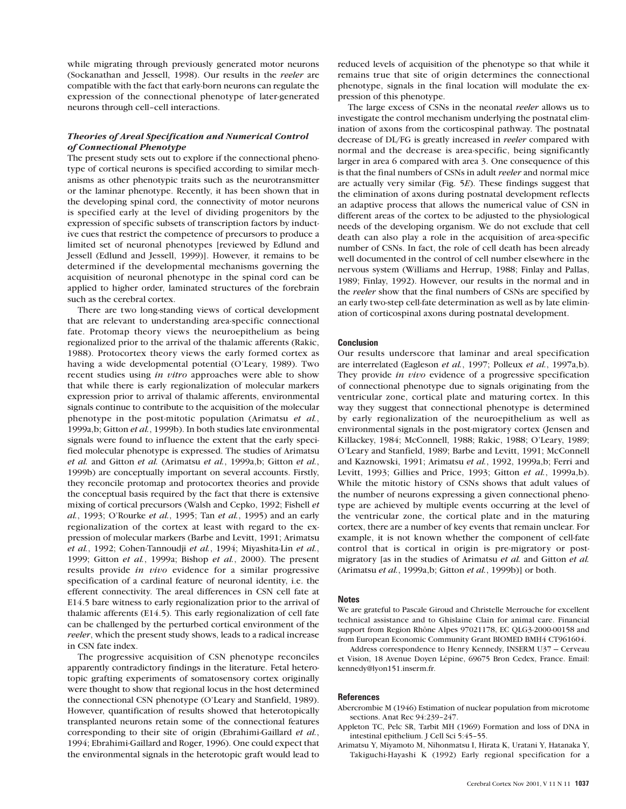while migrating through previously generated motor neurons (Sockanathan and Jessell, 1998). Our results in the *reeler* are compatible with the fact that early-born neurons can regulate the expression of the connectional phenotype of later-generated neurons through cell–cell interactions.

# *Theories of Areal Specification and Numerical Control of Connectional Phenotype*

The present study sets out to explore if the connectional phenotype of cortical neurons is specified according to similar mechanisms as other phenotypic traits such as the neurotransmitter or the laminar phenotype. Recently, it has been shown that in the developing spinal cord, the connectivity of motor neurons is specified early at the level of dividing progenitors by the expression of specific subsets of transcription factors by inductive cues that restrict the competence of precursors to produce a limited set of neuronal phenotypes [reviewed by Edlund and Jessell (Edlund and Jessell, 1999)]. However, it remains to be determined if the developmental mechanisms governing the acquisition of neuronal phenotype in the spinal cord can be applied to higher order, laminated structures of the forebrain such as the cerebral cortex.

There are two long-standing views of cortical development that are relevant to understanding area-specific connectional fate. Protomap theory views the neuroepithelium as being regionalized prior to the arrival of the thalamic afferents (Rakic, 1988). Protocortex theory views the early formed cortex as having a wide developmental potential (O'Leary, 1989). Two recent studies using *in vitro* approaches were able to show that while there is early regionalization of molecular markers expression prior to arrival of thalamic afferents, environmental signals continue to contribute to the acquisition of the molecular phenotype in the post-mitotic population (Arimatsu *et al.*, 1999a,b; Gitton *et al.*, 1999b). In both studies late environmental signals were found to influence the extent that the early specified molecular phenotype is expressed. The studies of Arimatsu *et al.* and Gitton *et al.* (Arimatsu *et al.*, 1999a,b; Gitton *et al.*, 1999b) are conceptually important on several accounts. Firstly, they reconcile protomap and protocortex theories and provide the conceptual basis required by the fact that there is extensive mixing of cortical precursors (Walsh and Cepko, 1992; Fishell *et al.*, 1993; O'Rourke *et al.*, 1995; Tan *et al.*, 1995) and an early regionalization of the cortex at least with regard to the expression of molecular markers (Barbe and Levitt, 1991; Arimatsu *et al.*, 1992; Cohen-Tannoudji *et al.*, 1994; Miyashita-Lin *et al.*, 1999; Gitton *et al.*, 1999a; Bishop *et al.*, 2000). The present results provide *in vivo* evidence for a similar progressive specification of a cardinal feature of neuronal identity, i.e. the efferent connectivity. The areal differences in CSN cell fate at E14.5 bare witness to early regionalization prior to the arrival of thalamic afferents (E14.5). This early regionalization of cell fate can be challenged by the perturbed cortical environment of the *reeler*, which the present study shows, leads to a radical increase in CSN fate index.

The progressive acquisition of CSN phenotype reconciles apparently contradictory findings in the literature. Fetal heterotopic grafting experiments of somatosensory cortex originally were thought to show that regional locus in the host determined the connectional CSN phenotype (O'Leary and Stanfield, 1989). However, quantification of results showed that heterotopically transplanted neurons retain some of the connectional features corresponding to their site of origin (Ebrahimi-Gaillard *et al.*, 1994; Ebrahimi-Gaillard and Roger, 1996). One could expect that the environmental signals in the heterotopic graft would lead to

reduced levels of acquisition of the phenotype so that while it remains true that site of origin determines the connectional phenotype, signals in the final location will modulate the expression of this phenotype.

The large excess of CSNs in the neonatal *reeler* allows us to investigate the control mechanism underlying the postnatal elimination of axons from the corticospinal pathway. The postnatal decrease of DL/FG is greatly increased in *reeler* compared with normal and the decrease is area-specific, being significantly larger in area 6 compared with area 3. One consequence of this is that the final numbers of CSNs in adult *reeler* and normal mice are actually very similar (Fig. 5*E*). These findings suggest that the elimination of axons during postnatal development reflects an adaptive process that allows the numerical value of CSN in different areas of the cortex to be adjusted to the physiological needs of the developing organism. We do not exclude that cell death can also play a role in the acquisition of area-specific number of CSNs. In fact, the role of cell death has been already well documented in the control of cell number elsewhere in the nervous system (Williams and Herrup, 1988; Finlay and Pallas, 1989; Finlay, 1992). However, our results in the normal and in the *reeler* show that the final numbers of CSNs are specified by an early two-step cell-fate determination as well as by late elimination of corticospinal axons during postnatal development.

## **Conclusion**

Our results underscore that laminar and areal specification are interrelated (Eagleson *et al.*, 1997; Polleux *et al.*, 1997a,b). They provide *in vivo* evidence of a progressive specification of connectional phenotype due to signals originating from the ventricular zone, cortical plate and maturing cortex. In this way they suggest that connectional phenotype is determined by early regionalization of the neuroepithelium as well as environmental signals in the post-migratory cortex (Jensen and Killackey, 1984; McConnell, 1988; Rakic, 1988; O'Leary, 1989; O'Leary and Stanfield, 1989; Barbe and Levitt, 1991; McConnell and Kaznowski, 1991; Arimatsu *et al.*, 1992, 1999a,b; Ferri and Levitt, 1993; Gillies and Price, 1993; Gitton *et al.*, 1999a,b). While the mitotic history of CSNs shows that adult values of the number of neurons expressing a given connectional phenotype are achieved by multiple events occurring at the level of the ventricular zone, the cortical plate and in the maturing cortex, there are a number of key events that remain unclear. For example, it is not known whether the component of cell-fate control that is cortical in origin is pre-migratory or postmigratory [as in the studies of Arimatsu *et al.* and Gitton *et al.* (Arimatsu *et al.*, 1999a,b; Gitton *et al.*, 1999b)] or both.

#### **Notes**

We are grateful to Pascale Giroud and Christelle Merrouche for excellent technical assistance and to Ghislaine Clain for animal care. Financial support from Region Rhône Alpes 97021178, EC QLG3-2000-00158 and from European Economic Community Grant BIOMED BMH4 CT961604.

Address correspondence to Henry Kennedy, INSERM U37 — Cerveau et Vision, 18Avenue Doyen Lépine, 69675 Bron Cedex, France. Email: kennedy@lyon151.inserm.fr.

### **References**

- Abercrombie M (1946) Estimation of nuclear population from microtome sections. Anat Rec 94:239–247.
- Appleton TC, Pelc SR, Tarbit MH (1969) Formation and loss of DNA in intestinal epithelium. J Cell Sci 5:45–55.
- Arimatsu Y, Miyamoto M, Nihonmatsu I, Hirata K, Uratani Y, Hatanaka Y, Takiguchi-Hayashi K (1992) Early regional specification for a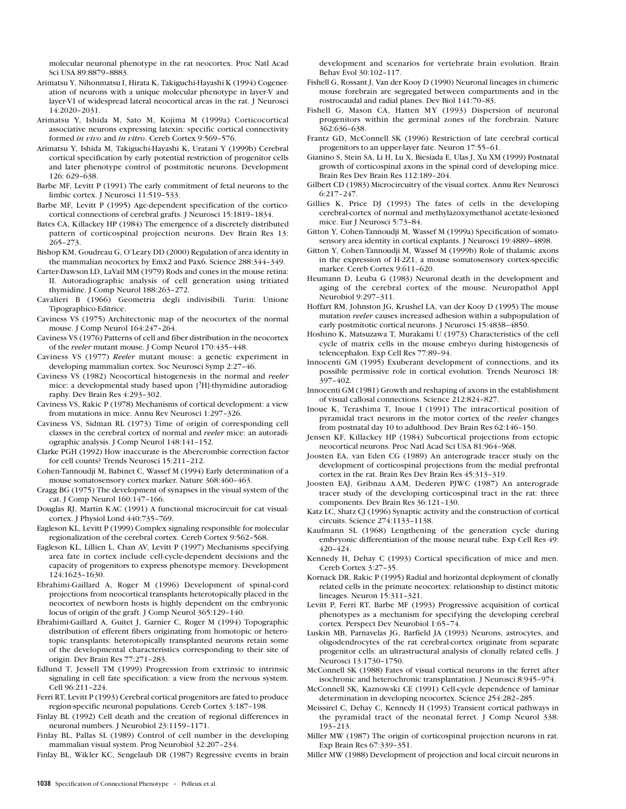molecular neuronal phenotype in the rat neocortex. Proc Natl Acad Sci USA 89:8879–8883.

- Arimatsu Y, Nihonmatsu I, Hirata K, Takiguchi-Hayashi K (1994) Cogeneration of neurons with a unique molecular phenotype in layer-V and layer-VI of widespread lateral neocortical areas in the rat. J Neurosci 14:2020–2031.
- Arimatsu Y, Ishida M, Sato M, Kojima M (1999a) Corticocortical associative neurons expressing latexin: specific cortical connectivity formed *in vivo* and *in vitro*. Cereb Cortex 9:569–576.
- Arimatsu Y, Ishida M, Takiguchi-Hayashi K, Uratani Y (1999b) Cerebral cortical specification by early potential restriction of progenitor cells and later phenotype control of postmitotic neurons. Development 126: 629–638.
- Barbe MF, Levitt P (1991) The early commitment of fetal neurons to the limbic cortex. J Neurosci 11:519–533.
- Barbe MF, Levitt P (1995) Age-dependent specification of the corticocortical connections of cerebral grafts. J Neurosci 15:1819–1834.
- Bates CA, Killackey HP (1984) The emergence of a discretely distributed pattern of corticospinal projection neurons. Dev Brain Res 13: 265–273.
- Bishop KM, Goudreau G, O'Leary DD (2000) Regulation of area identity in the mammalian neocortex by Emx2 and Pax6. Science 288:344–349.
- Carter-Dawson LD, LaVail MM (1979) Rods and cones in the mouse retina: II. Autoradiographic analysis of cell generation using tritiated thymidine. J Comp Neurol 188:263–272.
- Cavalieri B (1966) Geometria degli indivisibili. Turin: Unione Tipographico-Editrice.
- Caviness VS (1975) Architectonic map of the neocortex of the normal mouse. J Comp Neurol 164:247–264.
- Caviness VS (1976) Patterns of cell and fiber distribution in the neocortex of the *reeler* mutant mouse. J Comp Neurol 170:435–448.
- Caviness VS (1977) *Reeler* mutant mouse: a genetic experiment in developing mammalian cortex. Soc Neurosci Symp 2:27–46.
- Caviness VS (1982) Neocortical histogenesis in the normal and *reeler* mice: a developmental study based upon [3H]-thymidine autoradiography. Dev Brain Res 4:293–302.
- Caviness VS, Rakic P (1978) Mechanisms of cortical development: a view from mutations in mice. Annu Rev Neurosci 1:297–326.
- Caviness VS, Sidman RL (1973) Time of origin of corresponding cell classes in the cerebral cortex of normal and *reeler* mice: an autoradiographic analysis. J Comp Neurol 148:141–152.
- Clarke PGH (1992) How inaccurate is the Abercrombie correction factor for cell counts? Trends Neurosci 15:211–212.
- Cohen-Tannoudji M, Babinet C, Wassef M (1994) Early determination of a mouse somatosensory cortex marker. Nature 368:460–463.
- Cragg BG (1975) The development of synapses in the visual system of the cat. J Comp Neurol 160:147–166.
- Douglas RJ, Martin KAC (1991) A functional microcircuit for cat visualcortex. J Physiol Lond 440:735–769.
- Eagleson KL, Levitt P (1999) Complex signaling responsible for molecular regionalization of the cerebral cortex. Cereb Cortex 9:562–568.
- Eagleson KL, Lillien L, Chan AV, Levitt P (1997) Mechanisms specifying area fate in cortex include cell-cycle-dependent decisions and the capacity of progenitors to express phenotype memory. Development 124:1623–1630.
- Ebrahimi-Gaillard A, Roger M (1996) Development of spinal-cord projections from neocortical transplants heterotopically placed in the neocortex of newborn hosts is highly dependent on the embryonic locus of origin of the graft. J Comp Neurol 365:129–140.
- Ebrahimi-Gaillard A, Guitet J, Garnier C, Roger M (1994) Topographic distribution of efferent fibers originating from homotopic or heterotopic transplants: heterotopically transplanted neurons retain some of the developmental characteristics corresponding to their site of origin. Dev Brain Res 77:271–283.
- Edlund T, Jessell TM (1999) Progression from extrinsic to intrinsic signaling in cell fate specification: a view from the nervous system. Cell 96:211–224.
- Ferri RT, Levitt P (1993) Cerebral cortical progenitors are fated to produce region-specific neuronal populations. Cereb Cortex 3:187–198.
- Finlay BL (1992) Cell death and the creation of regional differences in neuronal numbers. J Neurobiol 23:1159–1171.
- Finlay BL, Pallas SL (1989) Control of cell number in the developing mammalian visual system. Prog Neurobiol 32:207–234.

Finlay BL, Wikler KC, Sengelaub DR (1987) Regressive events in brain

development and scenarios for vertebrate brain evolution. Brain Behav Evol 30:102–117.

- Fishell G, Rossant J, Van der Kooy D (1990) Neuronal lineages in chimeric mouse forebrain are segregated between compartments and in the rostrocaudal and radial planes. Dev Biol 141:70–83.
- Fishell G, Mason CA, Hatten MY (1993) Dispersion of neuronal progenitors within the germinal zones of the forebrain. Nature 362:636–638.
- Frantz GD, McConnell SK (1996) Restriction of late cerebral cortical progenitors to an upper-layer fate. Neuron 17:55–61.
- Gianino S, Stein SA, Li H, Lu X, Biesiada E, Ulas J, Xu XM (1999) Postnatal growth of corticospinal axons in the spinal cord of developing mice. Brain Res Dev Brain Res 112:189–204.
- Gilbert CD (1983) Microcircuitry of the visual cortex. Annu Rev Neurosci 6:217–247.
- Gillies K, Price DJ (1993) The fates of cells in the developing cerebral-cortex of normal and methylazoxymethanol acetate-lesioned mice. Eur J Neurosci 5:73–84.
- Gitton Y, Cohen-Tannoudji M, Wassef M (1999a) Specification of somatosensory area identity in cortical explants. J Neurosci 19:4889–4898.
- Gitton Y, Cohen-Tannoudji M, Wassef M (1999b) Role of thalamic axons in the expression of H-2Z1, a mouse somatosensory cortex-specific marker. Cereb Cortex 9:611–620.
- Heumann D, Leuba G (1983) Neuronal death in the development and aging of the cerebral cortex of the mouse. Neuropathol Appl Neurobiol 9:297–311.
- Hoffart RM, Johnston JG, Krushel LA, van der Kooy D (1995) The mouse mutation *reeler* causes increased adhesion within a subpopulation of early postmitotic cortical neurons. J Neurosci 15:4838–4850.
- Hoshino K, Matsuzawa T, Murakami U (1973) Characteristics of the cell cycle of matrix cells in the mouse embryo during histogenesis of telencephalon. Exp Cell Res 77:89–94.
- Innocenti GM (1995) Exuberant development of connections, and its possible permissive role in cortical evolution. Trends Neurosci 18: 397–402.
- Innocenti GM (1981) Growth and reshaping of axons in the establishment of visual callosal connections. Science 212:824–827.
- Inoue K, Terashima T, Inoue I (1991) The intracortical position of pyramidal tract neurons in the motor cortex of the *reeler* changes from postnatal day 10 to adulthood. Dev Brain Res 62:146–150.
- Jensen KF, Killackey HP (1984) Subcortical projections from ectopic neocortical neurons. Proc Natl Acad Sci USA 81:964–968.
- Joosten EA, van Eden CG (1989) An anterograde tracer study on the development of corticospinal projections from the medial prefrontal cortex in the rat. Brain Res Dev Brain Res 45:313–319.
- Joosten EAJ, Gribnau AAM, Dederen PJWC (1987) An anterograde tracer study of the developing corticospinal tract in the rat: three components. Dev Brain Res 36:121–130.
- Katz LC, Shatz CJ (1996) Synaptic activity and the construction of cortical circuits. Science 274:1133–1138.
- Kaufmann SL (1968) Lengthening of the generation cycle during embryonic differentiation of the mouse neural tube. Exp Cell Res 49: 420–424.
- Kennedy H, Dehay C (1993) Cortical specification of mice and men. Cereb Cortex 3:27–35.
- Kornack DR, Rakic P (1995) Radial and horizontal deployment of clonally related cells in the primate neocortex: relationship to distinct mitotic lineages. Neuron 15:311–321.
- Levitt P, Ferri RT, Barbe MF (1993) Progressive acquisition of cortical phenotypes as a mechanism for specifying the developing cerebral cortex. Perspect Dev Neurobiol 1:65–74.
- Luskin MB, Parnavelas JG, Barfield JA (1993) Neurons, astrocytes, and oligodendrocytes of the rat cerebral-cortex originate from separate progenitor cells: an ultrastructural analysis of clonally related cells. J Neurosci 13:1730–1750.
- McConnell SK (1988) Fates of visual cortical neurons in the ferret after isochronic and heterochronic transplantation. J Neurosci 8:945–974.
- McConnell SK, Kaznowski CE (1991) Cell-cycle dependence of laminar determination in developing neocortex. Science 254:282–285.
- Meissirel C, Dehay C, Kennedy H (1993) Transient cortical pathways in the pyramidal tract of the neonatal ferret. J Comp Neurol 338: 193–213.
- Miller MW (1987) The origin of corticospinal projection neurons in rat. Exp Brain Res  $67:339-351$ .
- Miller MW (1988) Development of projection and local circuit neurons in